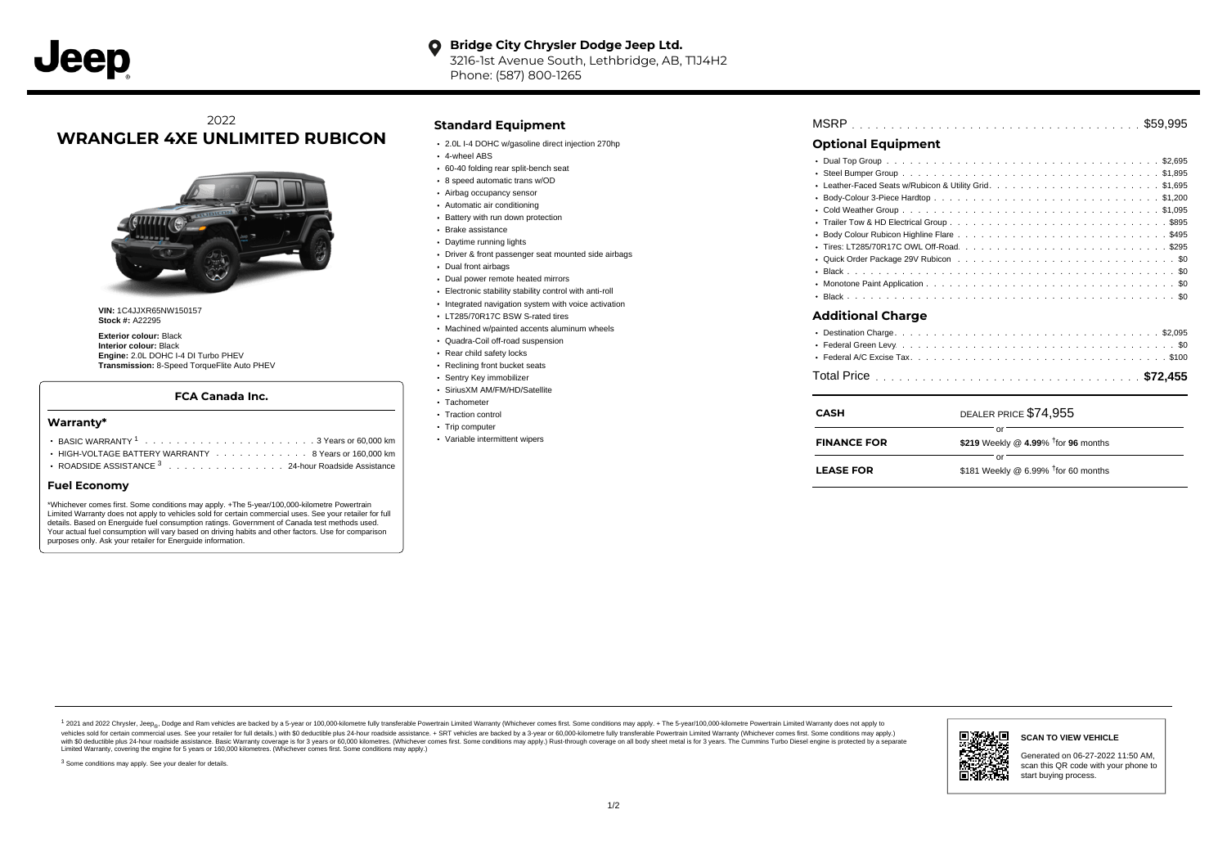#### **Bridge City Chrysler Dodge Jeep Ltd.**  $\bullet$ 3216-1st Avenue South, Lethbridge, AB, T1J4H2

Phone: (587) 800-1265

# 2022 **WRANGLER 4XE UNLIMITED RUBICON**



**VIN:** 1C4JJXR65NW150157 **Stock #:** A22295

**Exterior colour:** Black **Interior colour:** Black **Engine:** 2.0L DOHC I-4 DI Turbo PHEV **Transmission:** 8-Speed TorqueFlite Auto PHEV

# **FCA Canada Inc.**

### **Warranty\***

- . . . . . . . . . . . . . . . . . . . . . . . . . . . . . . . . . . . . . . . . . . . BASIC WARRANTY <sup>1</sup> 3 Years or 60,000 km
- HIGH-VOLTAGE BATTERY WARRANTY  $\cdots \cdots \cdots \cdots \cdots 8$  Years or 160,000 km
- ROADSIDE ASSISTANCE<sup>3</sup> . . . . . . . . . . . . . . . 24-hour Roadside Assistance

## **Fuel Economy**

\*Whichever comes first. Some conditions may apply. +The 5-year/100,000-kilometre Powertrain Limited Warranty does not apply to vehicles sold for certain commercial uses. See your retailer for full details. Based on Energuide fuel consumption ratings. Government of Canada test methods used. Your actual fuel consumption will vary based on driving habits and other factors. Use for comparison purposes only. Ask your retailer for Energuide information.

# **Standard Equipment**

- 2.0L I-4 DOHC w/gasoline direct injection 270hp
- 4-wheel ABS
- 60-40 folding rear split-bench seat
- 8 speed automatic trans w/OD
- Airbag occupancy sensor Automatic air conditioning
- 
- Battery with run down protection Brake assistance
- Daytime running lights
- Driver & front passenger seat mounted side airbags
- Dual front airbags
- Dual power remote heated mirrors
- Electronic stability stability control with anti-roll
- $\cdot$  Integrated navigation system with voice activation
- LT285/70R17C BSW S-rated tires
- Machined w/painted accents aluminum wheels
- Quadra-Coil off-road suspension
- Rear child safety locks
- Reclining front bucket seats
- Sentry Key immobilizer
- SiriusXM AM/FM/HD/Satellite
- · Tachometer
- Traction control
- Trip computer
- Variable intermittent wipers

| <b>Optional Equipment</b>            |
|--------------------------------------|
|                                      |
|                                      |
|                                      |
|                                      |
|                                      |
|                                      |
| ٠                                    |
|                                      |
|                                      |
|                                      |
|                                      |
|                                      |
| <b>Additional Charge</b>             |
|                                      |
|                                      |
|                                      |
|                                      |
| DEALER PRICE \$74.955<br><b>CASH</b> |

| CASH               | DEALER PRICE \$74,955                  |
|--------------------|----------------------------------------|
| <b>FINANCE FOR</b> | \$219 Weekly @ 4.99% $†$ for 96 months |
| <b>LEASE FOR</b>   | \$181 Weekly @ 6.99% $†$ for 60 months |

1 2021 and 2022 Chrysler, Jeep<sub>ev</sub> Dodge and Ram vehicles are backed by a 5-year or 100,000-kilometre fully transferable Powertrain Limited Warranty (Whichever comes first. Some conditions may apply. + The 5-year/100,000-k vehicles sold for certain commercial uses. See your retailer for full details.) with \$0 deductible plus 24-hour roadside assistance. + SRT vehicles are backed by a 3-year or 60,000-kilometre fully transferable Powertrain L with S0 deductible plus 24-hour roadside assistance. Basic Warranty coverage is for 3 years or 60,000 kilometres. (Whichever comes first. Some conditions may apply.) Rust-through coverage on all body sheet metal is for 3 y



## **SCAN TO VIEW VEHICLE**

Generated on 06-27-2022 11:50 AM, scan this QR code with your phone to start buying process.